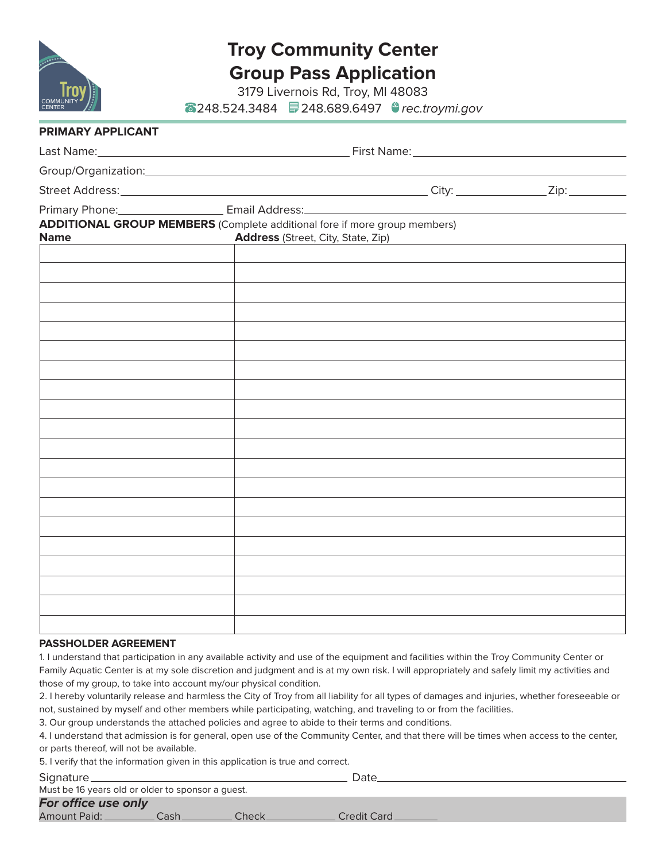

# **Troy Community Center Group Pass Application**

3179 Livernois Rd, Troy, MI 48083 248.524.3484 248.689.6497 *rec.troymi.gov*

| PRIMARY APPLICANT |                                                                                                                               |                                                   |  |  |  |  |  |  |
|-------------------|-------------------------------------------------------------------------------------------------------------------------------|---------------------------------------------------|--|--|--|--|--|--|
|                   |                                                                                                                               |                                                   |  |  |  |  |  |  |
|                   | Group/Organization: Manual Community of Croup/Organization:                                                                   |                                                   |  |  |  |  |  |  |
|                   |                                                                                                                               |                                                   |  |  |  |  |  |  |
|                   |                                                                                                                               |                                                   |  |  |  |  |  |  |
| <b>Name</b>       | <b>ADDITIONAL GROUP MEMBERS</b> (Complete additional fore if more group members)<br><b>Address</b> (Street, City, State, Zip) | <u> 1980 - Johann Barbara, martin amerikan ba</u> |  |  |  |  |  |  |
|                   |                                                                                                                               |                                                   |  |  |  |  |  |  |
|                   |                                                                                                                               |                                                   |  |  |  |  |  |  |
|                   |                                                                                                                               |                                                   |  |  |  |  |  |  |
|                   |                                                                                                                               |                                                   |  |  |  |  |  |  |
|                   |                                                                                                                               |                                                   |  |  |  |  |  |  |
|                   |                                                                                                                               |                                                   |  |  |  |  |  |  |
|                   |                                                                                                                               |                                                   |  |  |  |  |  |  |
|                   |                                                                                                                               |                                                   |  |  |  |  |  |  |
|                   |                                                                                                                               |                                                   |  |  |  |  |  |  |
|                   |                                                                                                                               |                                                   |  |  |  |  |  |  |
|                   |                                                                                                                               |                                                   |  |  |  |  |  |  |
|                   |                                                                                                                               |                                                   |  |  |  |  |  |  |
|                   |                                                                                                                               |                                                   |  |  |  |  |  |  |
|                   |                                                                                                                               |                                                   |  |  |  |  |  |  |
|                   |                                                                                                                               |                                                   |  |  |  |  |  |  |
|                   |                                                                                                                               |                                                   |  |  |  |  |  |  |
|                   |                                                                                                                               |                                                   |  |  |  |  |  |  |
|                   |                                                                                                                               |                                                   |  |  |  |  |  |  |

### **PASSHOLDER AGREEMENT**

1. I understand that participation in any available activity and use of the equipment and facilities within the Troy Community Center or Family Aquatic Center is at my sole discretion and judgment and is at my own risk. I will appropriately and safely limit my activities and those of my group, to take into account my/our physical condition.

2. I hereby voluntarily release and harmless the City of Troy from all liability for all types of damages and injuries, whether foreseeable or not, sustained by myself and other members while participating, watching, and traveling to or from the facilities.

3. Our group understands the attached policies and agree to abide to their terms and conditions.

4. I understand that admission is for general, open use of the Community Center, and that there will be times when access to the center, or parts thereof, will not be available.

5. I verify that the information given in this application is true and correct.

| Signature_ |  |  |  |  |
|------------|--|--|--|--|
|            |  |  |  |  |
|            |  |  |  |  |

Signature Date Must be 16 years old or older to sponsor a guest.

*For office use only* Amount Paid: Cash Cash Check Credit Card